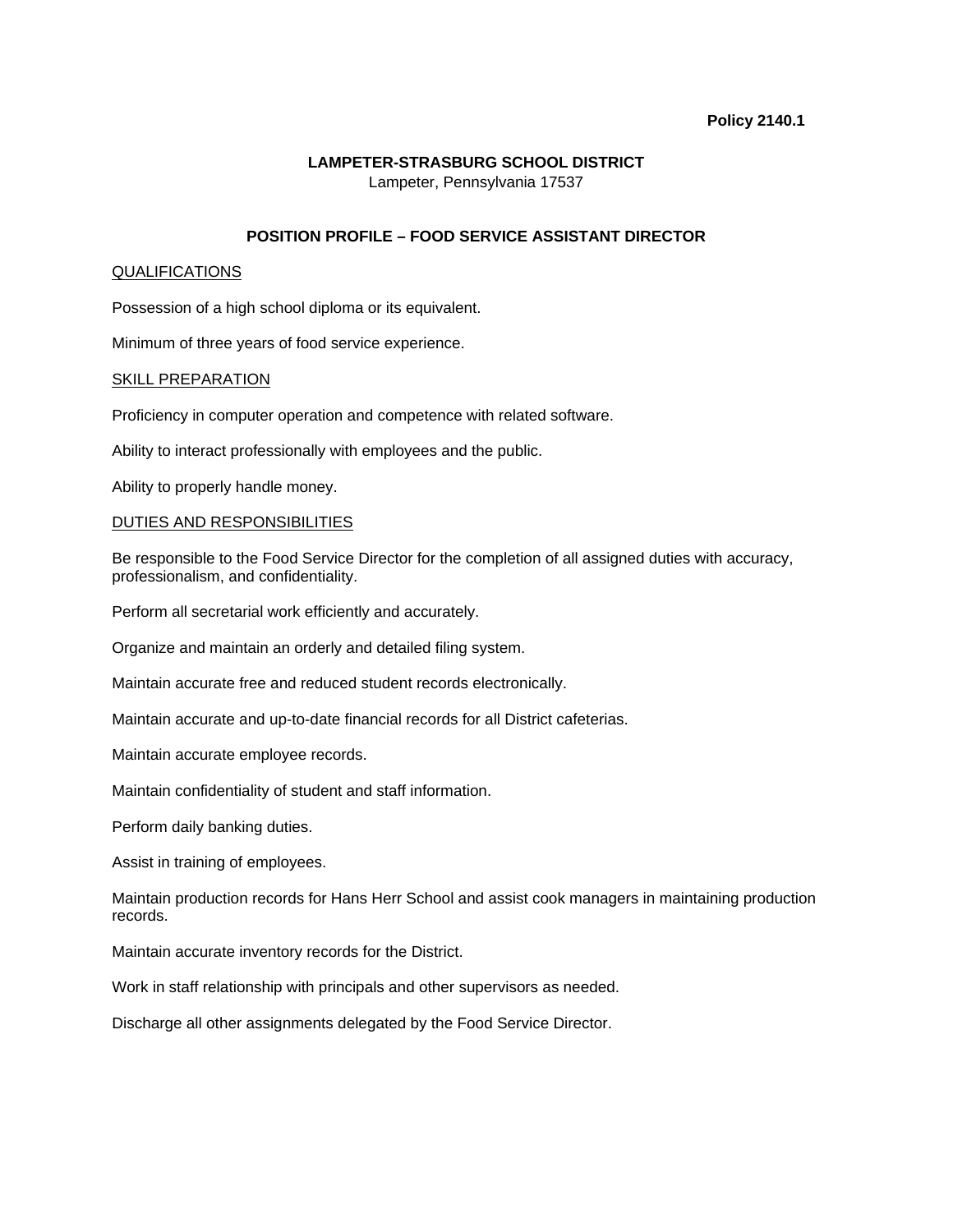#### **Policy 2140.1**

# **LAMPETER-STRASBURG SCHOOL DISTRICT**

Lampeter, Pennsylvania 17537

# **POSITION PROFILE – FOOD SERVICE ASSISTANT DIRECTOR**

## QUALIFICATIONS

Possession of a high school diploma or its equivalent.

Minimum of three years of food service experience.

## SKILL PREPARATION

Proficiency in computer operation and competence with related software.

Ability to interact professionally with employees and the public.

Ability to properly handle money.

## DUTIES AND RESPONSIBILITIES

Be responsible to the Food Service Director for the completion of all assigned duties with accuracy, professionalism, and confidentiality.

Perform all secretarial work efficiently and accurately.

Organize and maintain an orderly and detailed filing system.

Maintain accurate free and reduced student records electronically.

Maintain accurate and up-to-date financial records for all District cafeterias.

Maintain accurate employee records.

Maintain confidentiality of student and staff information.

Perform daily banking duties.

Assist in training of employees.

Maintain production records for Hans Herr School and assist cook managers in maintaining production records.

Maintain accurate inventory records for the District.

Work in staff relationship with principals and other supervisors as needed.

Discharge all other assignments delegated by the Food Service Director.